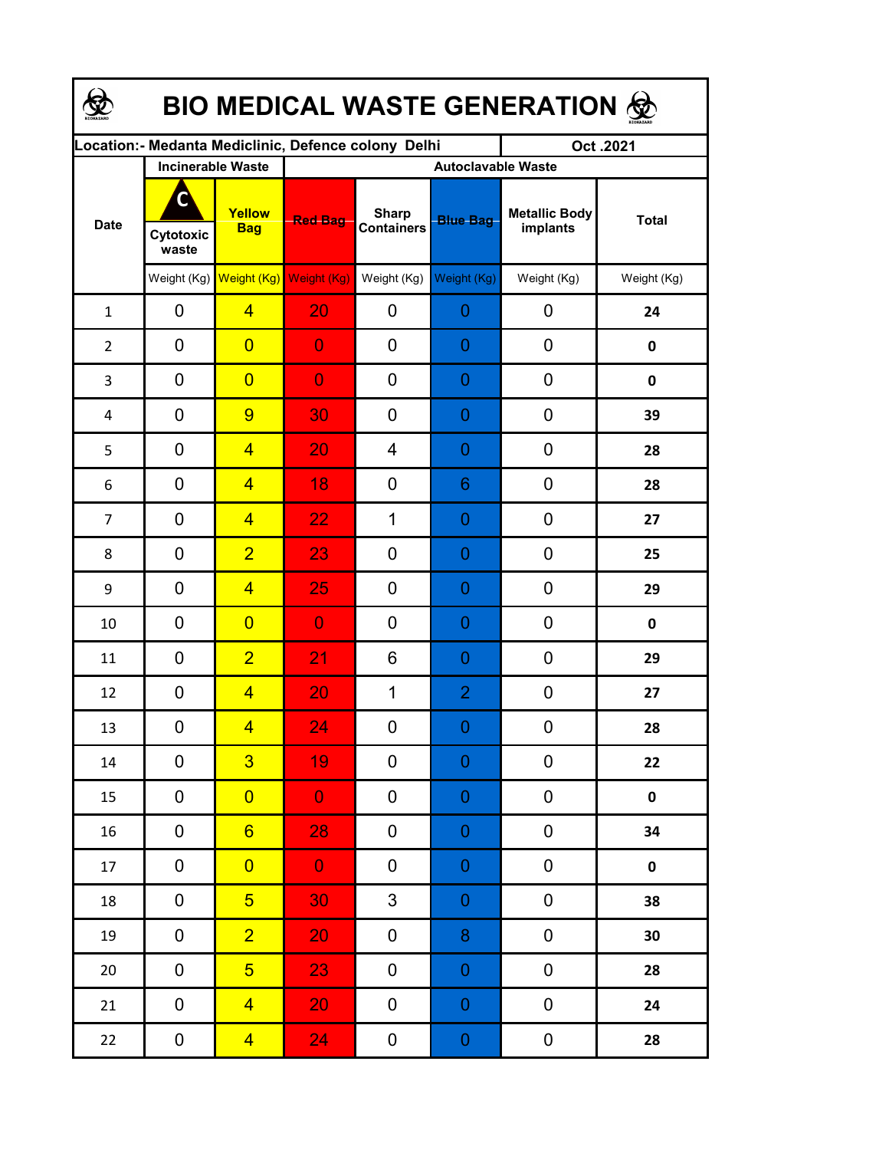| <b>BIO MEDICAL WASTE GENERATION ©</b> |                         |                                                  |                                                     |                                   |                                              |                                  |              |  |  |  |
|---------------------------------------|-------------------------|--------------------------------------------------|-----------------------------------------------------|-----------------------------------|----------------------------------------------|----------------------------------|--------------|--|--|--|
|                                       |                         |                                                  | Location:- Medanta Mediclinic, Defence colony Delhi |                                   |                                              | Oct.2021                         |              |  |  |  |
| <b>Date</b>                           | C<br>Cytotoxic<br>waste | <b>Incinerable Waste</b><br>Yellow<br><b>Bag</b> | <b>Red Bag</b>                                      | <b>Sharp</b><br><b>Containers</b> | <b>Autoclavable Waste</b><br><b>Blue Bag</b> | <b>Metallic Body</b><br>implants | <b>Total</b> |  |  |  |
|                                       |                         | Weight (Kg) Weight (Kg) Weight (Kg)              |                                                     | Weight (Kg)                       | Weight (Kg)                                  | Weight (Kg)                      | Weight (Kg)  |  |  |  |
| $\mathbf{1}$                          | 0                       | $\overline{4}$                                   | 20                                                  | 0                                 | 0                                            | 0                                | 24           |  |  |  |
| $\overline{2}$                        | 0                       | $\overline{0}$                                   | $\overline{0}$                                      | 0                                 | 0                                            | 0                                | 0            |  |  |  |
| 3                                     | 0                       | $\overline{0}$                                   | $\overline{0}$                                      | 0                                 | 0                                            | 0                                | 0            |  |  |  |
| 4                                     | 0                       | 9                                                | 30                                                  | 0                                 | 0                                            | 0                                | 39           |  |  |  |
| 5                                     | 0                       | $\overline{4}$                                   | 20                                                  | 4                                 | 0                                            | 0                                | 28           |  |  |  |
| 6                                     | 0                       | $\overline{4}$                                   | 18                                                  | 0                                 | 6                                            | 0                                | 28           |  |  |  |
| $\overline{7}$                        | 0                       | $\overline{4}$                                   | 22                                                  | 1                                 | 0                                            | 0                                | 27           |  |  |  |
| 8                                     | 0                       | $\overline{2}$                                   | 23                                                  | 0                                 | 0                                            | 0                                | 25           |  |  |  |
| 9                                     | 0                       | $\overline{4}$                                   | 25                                                  | 0                                 | 0                                            | 0                                | 29           |  |  |  |
| 10                                    | 0                       | $\overline{0}$                                   | $\overline{0}$                                      | 0                                 | 0                                            | 0                                | 0            |  |  |  |
| 11                                    | 0                       | $\overline{2}$                                   | 21                                                  | 6                                 | 0                                            | 0                                | 29           |  |  |  |
| 12                                    | 0                       | $\overline{4}$                                   | 20                                                  | 1                                 | $\overline{2}$                               | 0                                | 27           |  |  |  |
| 13                                    | 0                       | $\overline{\mathbf{4}}$                          | 24                                                  | 0                                 | $\Omega$                                     | $\boldsymbol{0}$                 | 28           |  |  |  |
| $14\,$                                | 0                       | $\overline{3}$                                   | 19                                                  | 0                                 | $\boldsymbol{0}$                             | 0                                | 22           |  |  |  |
| 15                                    | 0                       | $\overline{0}$                                   | $\mathbf{0}$                                        | 0                                 | $\boldsymbol{0}$                             | 0                                | $\pmb{0}$    |  |  |  |
| 16                                    | 0                       | $6 \overline{}$                                  | 28                                                  | 0                                 | $\boldsymbol{0}$                             | 0                                | 34           |  |  |  |
| 17                                    | $\pmb{0}$               | $\overline{0}$                                   | $\mathbf{O}$                                        | 0                                 | $\boldsymbol{0}$                             | $\pmb{0}$                        | $\pmb{0}$    |  |  |  |
| 18                                    | $\pmb{0}$               | 5 <sup>5</sup>                                   | 30                                                  | 3                                 | $\boldsymbol{0}$                             | $\pmb{0}$                        | 38           |  |  |  |
| 19                                    | $\pmb{0}$               | $\overline{2}$                                   | 20                                                  | 0                                 | 8                                            | 0                                | 30           |  |  |  |
| $20\,$                                | 0                       | 5 <sup>1</sup>                                   | 23                                                  | 0                                 | $\boldsymbol{0}$                             | $\pmb{0}$                        | 28           |  |  |  |
| 21                                    | $\pmb{0}$               | $\overline{4}$                                   | 20                                                  | 0                                 | $\boldsymbol{0}$                             | $\pmb{0}$                        | 24           |  |  |  |
| 22                                    | $\mathbf 0$             | $\overline{4}$                                   | 24 <sub>1</sub>                                     | 0                                 | $\boldsymbol{0}$                             | $\boldsymbol{0}$                 | 28           |  |  |  |